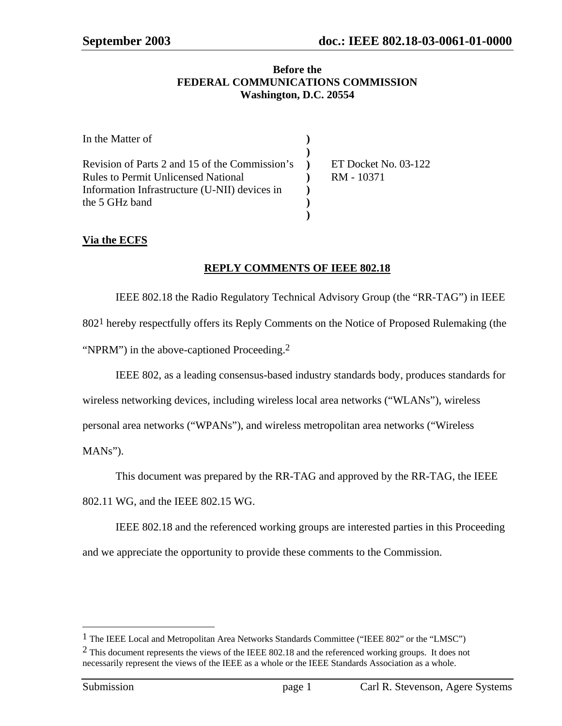#### **Before the FEDERAL COMMUNICATIONS COMMISSION Washington, D.C. 20554**

| In the Matter of                                 |                      |
|--------------------------------------------------|----------------------|
|                                                  |                      |
| Revision of Parts 2 and 15 of the Commission's ) | ET Docket No. 03-122 |
| <b>Rules to Permit Unlicensed National</b>       | RM - 10371           |
| Information Infrastructure (U-NII) devices in    |                      |
| the 5 GHz band                                   |                      |
|                                                  |                      |

## **Via the ECFS**

## **REPLY COMMENTS OF IEEE 802.18**

IEEE 802.18 the Radio Regulatory Technical Advisory Group (the "RR-TAG") in IEEE 8021 hereby respectfully offers its Reply Comments on the Notice of Proposed Rulemaking (the "NPRM") in the above-captioned Proceeding.<sup>2</sup>

IEEE 802, as a leading consensus-based industry standards body, produces standards for

wireless networking devices, including wireless local area networks ("WLANs"), wireless

personal area networks ("WPANs"), and wireless metropolitan area networks ("Wireless

MANs").

This document was prepared by the RR-TAG and approved by the RR-TAG, the IEEE

802.11 WG, and the IEEE 802.15 WG.

IEEE 802.18 and the referenced working groups are interested parties in this Proceeding and we appreciate the opportunity to provide these comments to the Commission.

l

<sup>&</sup>lt;sup>1</sup> The IEEE Local and Metropolitan Area Networks Standards Committee ("IEEE 802" or the "LMSC")

 $2$  This document represents the views of the IEEE 802.18 and the referenced working groups. It does not necessarily represent the views of the IEEE as a whole or the IEEE Standards Association as a whole.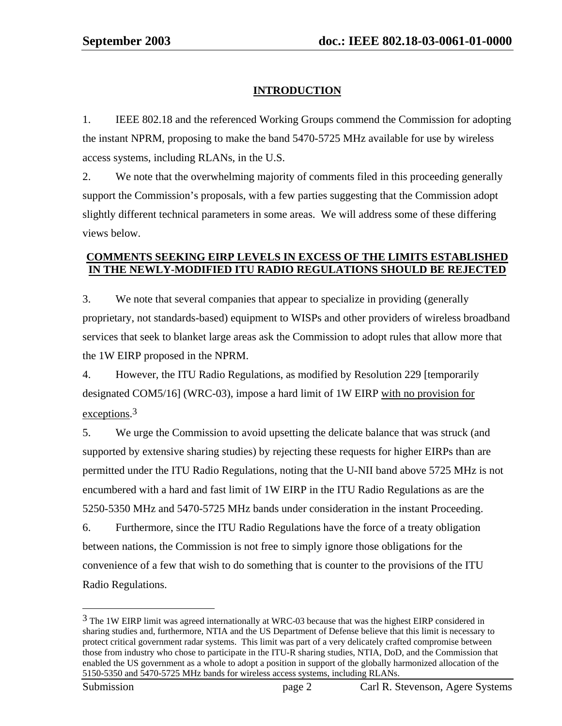# **INTRODUCTION**

1. IEEE 802.18 and the referenced Working Groups commend the Commission for adopting the instant NPRM, proposing to make the band 5470-5725 MHz available for use by wireless access systems, including RLANs, in the U.S.

2. We note that the overwhelming majority of comments filed in this proceeding generally support the Commission's proposals, with a few parties suggesting that the Commission adopt slightly different technical parameters in some areas. We will address some of these differing views below.

## **COMMENTS SEEKING EIRP LEVELS IN EXCESS OF THE LIMITS ESTABLISHED IN THE NEWLY-MODIFIED ITU RADIO REGULATIONS SHOULD BE REJECTED**

3. We note that several companies that appear to specialize in providing (generally proprietary, not standards-based) equipment to WISPs and other providers of wireless broadband services that seek to blanket large areas ask the Commission to adopt rules that allow more that the 1W EIRP proposed in the NPRM.

4. However, the ITU Radio Regulations, as modified by Resolution 229 [temporarily designated COM5/16] (WRC-03), impose a hard limit of 1W EIRP with no provision for exceptions.<sup>3</sup>

5. We urge the Commission to avoid upsetting the delicate balance that was struck (and supported by extensive sharing studies) by rejecting these requests for higher EIRPs than are permitted under the ITU Radio Regulations, noting that the U-NII band above 5725 MHz is not encumbered with a hard and fast limit of 1W EIRP in the ITU Radio Regulations as are the 5250-5350 MHz and 5470-5725 MHz bands under consideration in the instant Proceeding. 6. Furthermore, since the ITU Radio Regulations have the force of a treaty obligation

between nations, the Commission is not free to simply ignore those obligations for the convenience of a few that wish to do something that is counter to the provisions of the ITU Radio Regulations.

 $\overline{a}$ 

<sup>&</sup>lt;sup>3</sup> The 1W EIRP limit was agreed internationally at WRC-03 because that was the highest EIRP considered in sharing studies and, furthermore, NTIA and the US Department of Defense believe that this limit is necessary to protect critical government radar systems. This limit was part of a very delicately crafted compromise between those from industry who chose to participate in the ITU-R sharing studies, NTIA, DoD, and the Commission that enabled the US government as a whole to adopt a position in support of the globally harmonized allocation of the 5150-5350 and 5470-5725 MHz bands for wireless access systems, including RLANs.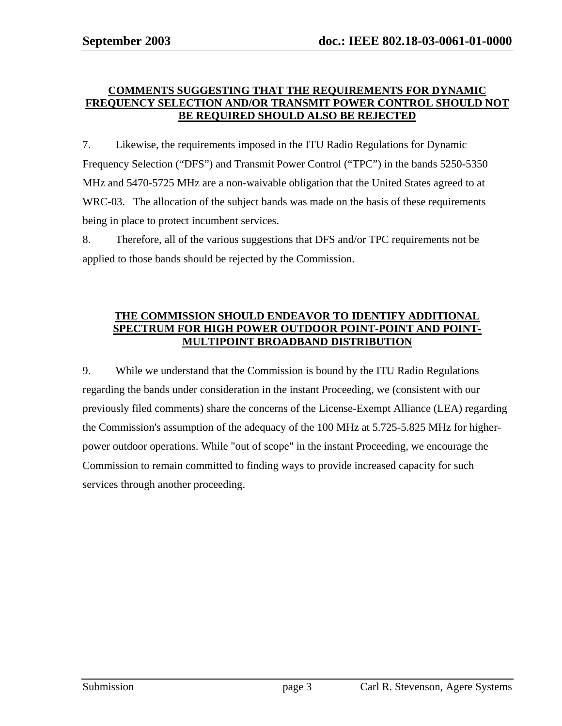#### **COMMENTS SUGGESTING THAT THE REQUIREMENTS FOR DYNAMIC FREQUENCY SELECTION AND/OR TRANSMIT POWER CONTROL SHOULD NOT BE REQUIRED SHOULD ALSO BE REJECTED**

7. Likewise, the requirements imposed in the ITU Radio Regulations for Dynamic Frequency Selection ("DFS") and Transmit Power Control ("TPC") in the bands 5250-5350 MHz and 5470-5725 MHz are a non-waivable obligation that the United States agreed to at WRC-03. The allocation of the subject bands was made on the basis of these requirements being in place to protect incumbent services.

8. Therefore, all of the various suggestions that DFS and/or TPC requirements not be applied to those bands should be rejected by the Commission.

## **THE COMMISSION SHOULD ENDEAVOR TO IDENTIFY ADDITIONAL SPECTRUM FOR HIGH POWER OUTDOOR POINT-POINT AND POINT-MULTIPOINT BROADBAND DISTRIBUTION**

9. While we understand that the Commission is bound by the ITU Radio Regulations regarding the bands under consideration in the instant Proceeding, we (consistent with our previously filed comments) share the concerns of the License-Exempt Alliance (LEA) regarding the Commission's assumption of the adequacy of the 100 MHz at 5.725-5.825 MHz for higherpower outdoor operations. While "out of scope" in the instant Proceeding, we encourage the Commission to remain committed to finding ways to provide increased capacity for such services through another proceeding.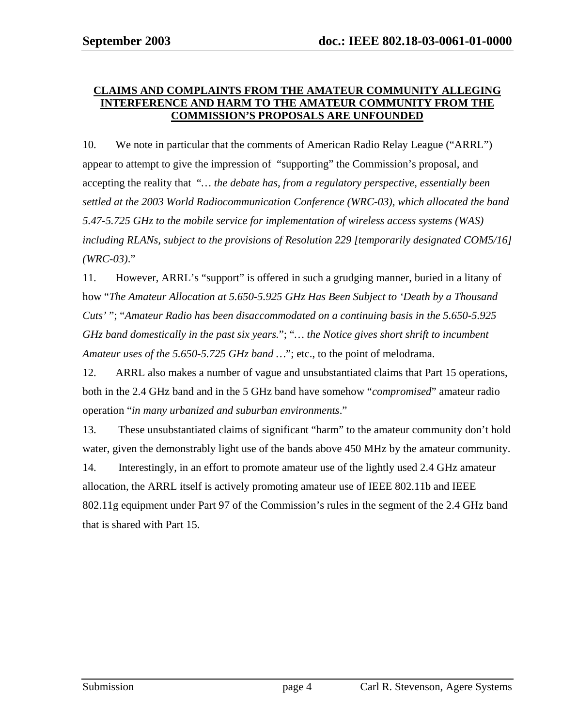#### **CLAIMS AND COMPLAINTS FROM THE AMATEUR COMMUNITY ALLEGING INTERFERENCE AND HARM TO THE AMATEUR COMMUNITY FROM THE COMMISSION'S PROPOSALS ARE UNFOUNDED**

10. We note in particular that the comments of American Radio Relay League ("ARRL") appear to attempt to give the impression of "supporting" the Commission's proposal, and accepting the reality that "*… the debate has, from a regulatory perspective, essentially been settled at the 2003 World Radiocommunication Conference (WRC-03), which allocated the band 5.47-5.725 GHz to the mobile service for implementation of wireless access systems (WAS) including RLANs, subject to the provisions of Resolution 229 [temporarily designated COM5/16] (WRC-03)*."

11. However, ARRL's "support" is offered in such a grudging manner, buried in a litany of how "*The Amateur Allocation at 5.650-5.925 GHz Has Been Subject to 'Death by a Thousand Cuts'* "; "*Amateur Radio has been disaccommodated on a continuing basis in the 5.650-5.925 GHz band domestically in the past six years.*"; "*… the Notice gives short shrift to incumbent Amateur uses of the 5.650-5.725 GHz band …*"; etc., to the point of melodrama.

12. ARRL also makes a number of vague and unsubstantiated claims that Part 15 operations, both in the 2.4 GHz band and in the 5 GHz band have somehow "*compromised*" amateur radio operation "*in many urbanized and suburban environments*."

13. These unsubstantiated claims of significant "harm" to the amateur community don't hold water, given the demonstrably light use of the bands above 450 MHz by the amateur community. 14. Interestingly, in an effort to promote amateur use of the lightly used 2.4 GHz amateur allocation, the ARRL itself is actively promoting amateur use of IEEE 802.11b and IEEE 802.11g equipment under Part 97 of the Commission's rules in the segment of the 2.4 GHz band that is shared with Part 15.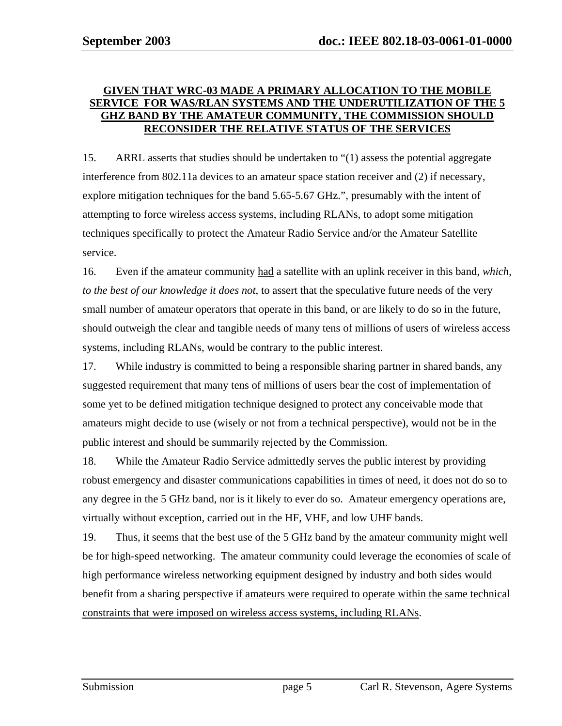#### **GIVEN THAT WRC-03 MADE A PRIMARY ALLOCATION TO THE MOBILE SERVICE FOR WAS/RLAN SYSTEMS AND THE UNDERUTILIZATION OF THE 5 GHZ BAND BY THE AMATEUR COMMUNITY, THE COMMISSION SHOULD RECONSIDER THE RELATIVE STATUS OF THE SERVICES**

15. ARRL asserts that studies should be undertaken to "(1) assess the potential aggregate interference from 802.11a devices to an amateur space station receiver and (2) if necessary, explore mitigation techniques for the band 5.65-5.67 GHz.", presumably with the intent of attempting to force wireless access systems, including RLANs, to adopt some mitigation techniques specifically to protect the Amateur Radio Service and/or the Amateur Satellite service.

16. Even if the amateur community had a satellite with an uplink receiver in this band, *which, to the best of our knowledge it does not*, to assert that the speculative future needs of the very small number of amateur operators that operate in this band, or are likely to do so in the future, should outweigh the clear and tangible needs of many tens of millions of users of wireless access systems, including RLANs, would be contrary to the public interest.

17. While industry is committed to being a responsible sharing partner in shared bands, any suggested requirement that many tens of millions of users bear the cost of implementation of some yet to be defined mitigation technique designed to protect any conceivable mode that amateurs might decide to use (wisely or not from a technical perspective), would not be in the public interest and should be summarily rejected by the Commission.

18. While the Amateur Radio Service admittedly serves the public interest by providing robust emergency and disaster communications capabilities in times of need, it does not do so to any degree in the 5 GHz band, nor is it likely to ever do so. Amateur emergency operations are, virtually without exception, carried out in the HF, VHF, and low UHF bands.

19. Thus, it seems that the best use of the 5 GHz band by the amateur community might well be for high-speed networking. The amateur community could leverage the economies of scale of high performance wireless networking equipment designed by industry and both sides would benefit from a sharing perspective if amateurs were required to operate within the same technical constraints that were imposed on wireless access systems, including RLANs.